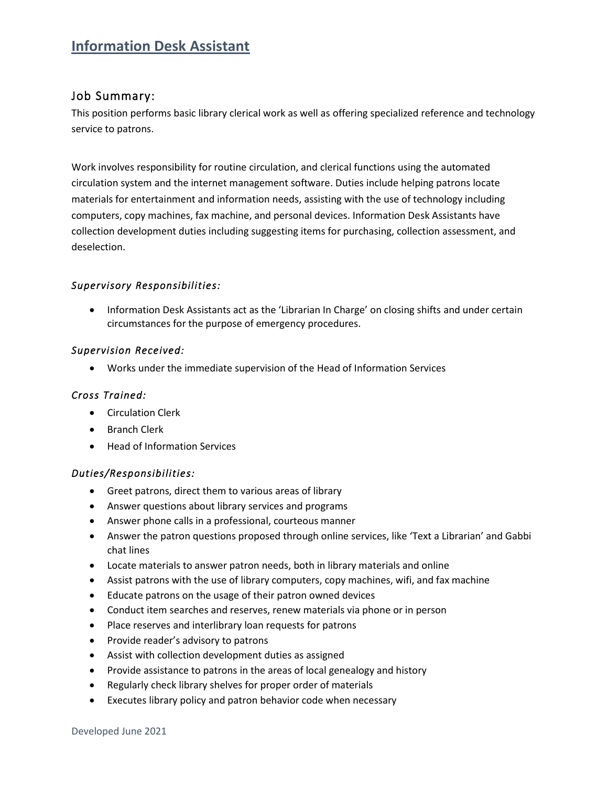# **Information Desk Assistant**

## Job Summary:

This position performs basic library clerical work as well as offering specialized reference and technology service to patrons.

Work involves responsibility for routine circulation, and clerical functions using the automated circulation system and the internet management software. Duties include helping patrons locate materials for entertainment and information needs, assisting with the use of technology including computers, copy machines, fax machine, and personal devices. Information Desk Assistants have collection development duties including suggesting items for purchasing, collection assessment, and deselection.

## *Supervisory Responsibilities:*

• Information Desk Assistants act as the 'Librarian In Charge' on closing shifts and under certain circumstances for the purpose of emergency procedures.

### *Supervision Received:*

• Works under the immediate supervision of the Head of Information Services

### *Cross Trained:*

- Circulation Clerk
- Branch Clerk
- Head of Information Services

#### *Duties/Responsibilities:*

- Greet patrons, direct them to various areas of library
- Answer questions about library services and programs
- Answer phone calls in a professional, courteous manner
- Answer the patron questions proposed through online services, like 'Text a Librarian' and Gabbi chat lines
- Locate materials to answer patron needs, both in library materials and online
- Assist patrons with the use of library computers, copy machines, wifi, and fax machine
- Educate patrons on the usage of their patron owned devices
- Conduct item searches and reserves, renew materials via phone or in person
- Place reserves and interlibrary loan requests for patrons
- Provide reader's advisory to patrons
- Assist with collection development duties as assigned
- Provide assistance to patrons in the areas of local genealogy and history
- Regularly check library shelves for proper order of materials
- Executes library policy and patron behavior code when necessary